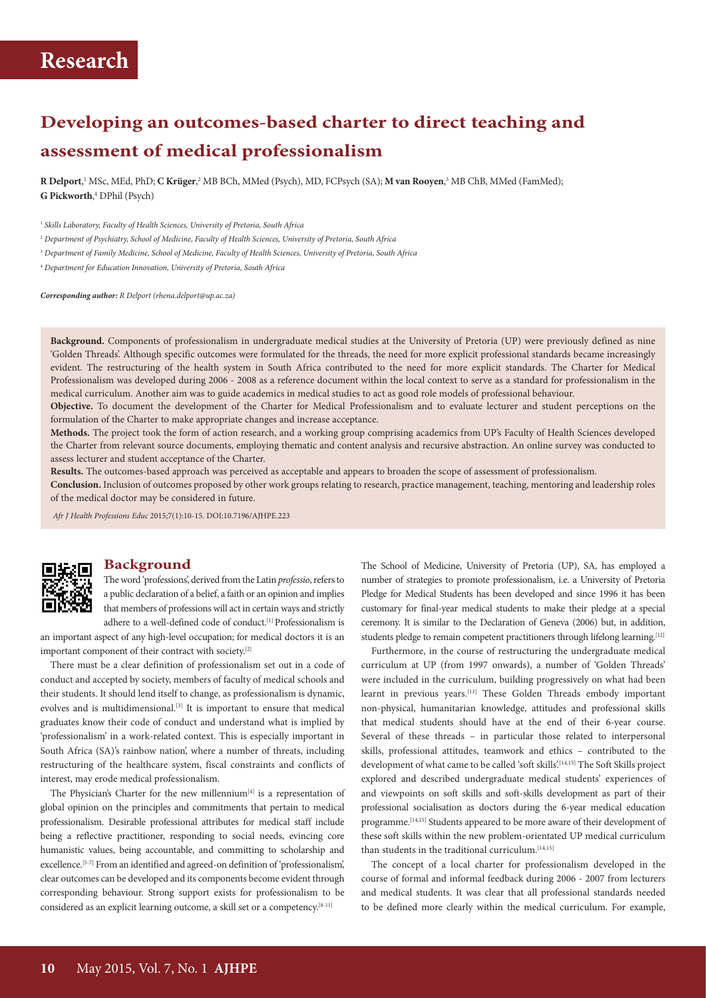# **Developing an outcomes-based charter to direct teaching and assessment of medical professionalism**

 $R$  **Delport**,<sup>1</sup> MSc, MEd, PhD; **C Krüger**,<sup>2</sup> MB BCh, MMed (Psych), MD, FCPsych (SA); **M van Rooyen**,<sup>3</sup> MB ChB, MMed (FamMed); **G Pickworth**, 4 DPhil (Psych)

<sup>1</sup> *Skills Laboratory, Faculty of Health Sciences, University of Pretoria, South Africa*

<sup>2</sup> *Department of Psychiatry, School of Medicine, Faculty of Health Sciences, University of Pretoria, South Africa*

<sup>3</sup> *Department of Family Medicine, School of Medicine, Faculty of Health Sciences, University of Pretoria, South Africa*

<sup>4</sup> *Department for Education Innovation, University of Pretoria, South Africa*

*Corresponding author: R Delport (rhena.delport@up.ac.za)*

**Background.** Components of professionalism in undergraduate medical studies at the University of Pretoria (UP) were previously defined as nine 'Golden Threads'. Although specific outcomes were formulated for the threads, the need for more explicit professional standards became increasingly evident. The restructuring of the health system in South Africa contributed to the need for more explicit standards. The Charter for Medical Professionalism was developed during 2006 - 2008 as a reference document within the local context to serve as a standard for professionalism in the medical curriculum. Another aim was to guide academics in medical studies to act as good role models of professional behaviour.

**Objective.** To document the development of the Charter for Medical Professionalism and to evaluate lecturer and student perceptions on the formulation of the Charter to make appropriate changes and increase acceptance.

**Methods.** The project took the form of action research, and a working group comprising academics from UP's Faculty of Health Sciences developed the Charter from relevant source documents, employing thematic and content analysis and recursive abstraction. An online survey was conducted to assess lecturer and student acceptance of the Charter.

**Results.** The outcomes-based approach was perceived as acceptable and appears to broaden the scope of assessment of professionalism.

**Conclusion.** Inclusion of outcomes proposed by other work groups relating to research, practice management, teaching, mentoring and leadership roles of the medical doctor may be considered in future.

*Afr J Health Professions Educ* 2015;7(1):10-15. DOI:10.7196/AJHPE.223

#### **Background**

The word 'professions', derived from the Latin *professio*, refers to a public declaration of a belief, a faith or an opinion and implies that members of professions will act in certain ways and strictly adhere to a well-defined code of conduct.<sup>[1]</sup> Professionalism is

an important aspect of any high-level occupation; for medical doctors it is an important component of their contract with society.[2]

There must be a clear definition of professionalism set out in a code of conduct and accepted by society, members of faculty of medical schools and their students. It should lend itself to change, as professionalism is dynamic, evolves and is multidimensional.<sup>[3]</sup> It is important to ensure that medical graduates know their code of conduct and understand what is implied by 'professionalism' in a work-related context. This is especially important in South Africa (SA)'s rainbow nation', where a number of threats, including restructuring of the healthcare system, fiscal constraints and conflicts of interest, may erode medical professionalism.

The Physician's Charter for the new millennium<sup>[4]</sup> is a representation of global opinion on the principles and commitments that pertain to medical professionalism. Desirable professional attributes for medical staff include being a reflective practitioner, responding to social needs, evincing core humanistic values, being accountable, and committing to scholarship and excellence.[5-7] From an identified and agreed-on definition of 'professionalism', clear outcomes can be developed and its components become evident through corresponding behaviour. Strong support exists for professionalism to be considered as an explicit learning outcome, a skill set or a competency.[8-11]

The School of Medicine, University of Pretoria (UP), SA, has employed a number of strategies to promote professionalism, i.e. a University of Pretoria Pledge for Medical Students has been developed and since 1996 it has been customary for final-year medical students to make their pledge at a special ceremony. It is similar to the Declaration of Geneva (2006) but, in addition, students pledge to remain competent practitioners through lifelong learning.<sup>[12]</sup>

Furthermore, in the course of restructuring the undergraduate medical curriculum at UP (from 1997 onwards), a number of 'Golden Threads' were included in the curriculum, building progressively on what had been learnt in previous years.<sup>[13]</sup> These Golden Threads embody important non-physical, humanitarian knowledge, attitudes and professional skills that medical students should have at the end of their 6-year course. Several of these threads – in particular those related to interpersonal skills, professional attitudes, teamwork and ethics – contributed to the development of what came to be called 'soft skills'.<sup>[14,15]</sup> The Soft Skills project explored and described undergraduate medical students' experiences of and viewpoints on soft skills and soft-skills development as part of their professional socialisation as doctors during the 6-year medical education programme.<sup>[14,15]</sup> Students appeared to be more aware of their development of these soft skills within the new problem-orientated UP medical curriculum than students in the traditional curriculum.<sup>[14,15]</sup>

The concept of a local charter for professionalism developed in the course of formal and informal feedback during 2006 - 2007 from lecturers and medical students. It was clear that all professional standards needed to be defined more clearly within the medical curriculum. For example,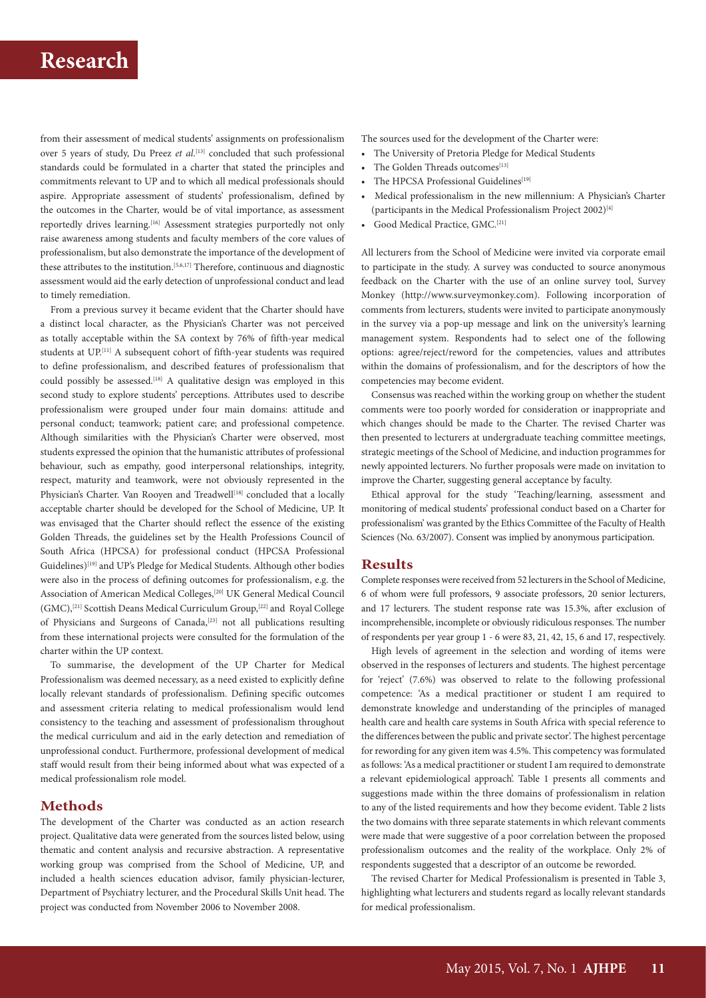from their assessment of medical students' assignments on professionalism over 5 years of study, Du Preez *et al*. [13] concluded that such professional standards could be formulated in a charter that stated the principles and commitments relevant to UP and to which all medical professionals should aspire. Appropriate assessment of students' professionalism, defined by the outcomes in the Charter, would be of vital importance, as assessment reportedly drives learning.<sup>[16]</sup> Assessment strategies purportedly not only raise awareness among students and faculty members of the core values of professionalism, but also demonstrate the importance of the development of these attributes to the institution.[5,6,17] Therefore, continuous and diagnostic assessment would aid the early detection of unprofessional conduct and lead to timely remediation.

From a previous survey it became evident that the Charter should have a distinct local character, as the Physician's Charter was not perceived as totally acceptable within the SA context by 76% of fifth-year medical students at UP.[11] A subsequent cohort of fifth-year students was required to define professionalism, and described features of professionalism that could possibly be assessed.<sup>[18]</sup> A qualitative design was employed in this second study to explore students' perceptions. Attributes used to describe professionalism were grouped under four main domains: attitude and personal conduct; teamwork; patient care; and professional competence. Although similarities with the Physician's Charter were observed, most students expressed the opinion that the humanistic attributes of professional behaviour, such as empathy, good interpersonal relationships, integrity, respect, maturity and teamwork, were not obviously represented in the Physician's Charter. Van Rooyen and Treadwell<sup>[18]</sup> concluded that a locally acceptable charter should be developed for the School of Medicine, UP. It was envisaged that the Charter should reflect the essence of the existing Golden Threads, the guidelines set by the Health Professions Council of South Africa (HPCSA) for professional conduct (HPCSA Professional Guidelines)[19] and UP's Pledge for Medical Students. Although other bodies were also in the process of defining outcomes for professionalism, e.g. the Association of American Medical Colleges,[20] UK General Medical Council (GMC),[21] Scottish Deans Medical Curriculum Group,[22] and Royal College of Physicians and Surgeons of Canada,<sup>[23]</sup> not all publications resulting from these international projects were consulted for the formulation of the charter within the UP context.

To summarise, the development of the UP Charter for Medical Professionalism was deemed necessary, as a need existed to explicitly define locally relevant standards of professionalism. Defining specific outcomes and assessment criteria relating to medical professionalism would lend consistency to the teaching and assessment of professionalism throughout the medical curriculum and aid in the early detection and remediation of unprofessional conduct. Furthermore, professional development of medical staff would result from their being informed about what was expected of a medical professionalism role model.

### **Methods**

The development of the Charter was conducted as an action research project. Qualitative data were generated from the sources listed below, using thematic and content analysis and recursive abstraction. A representative working group was comprised from the School of Medicine, UP, and included a health sciences education advisor, family physician-lecturer, Department of Psychiatry lecturer, and the Procedural Skills Unit head. The project was conducted from November 2006 to November 2008.

The sources used for the development of the Charter were:

- The University of Pretoria Pledge for Medical Students
- The Golden Threads outcomes[13]
- The HPCSA Professional Guidelines<sup>[19]</sup>
- Medical professionalism in the new millennium: A Physician's Charter (participants in the Medical Professionalism Project 2002)[4]
- Good Medical Practice, GMC.<sup>[21]</sup>

All lecturers from the School of Medicine were invited via corporate email to participate in the study. A survey was conducted to source anonymous feedback on the Charter with the use of an online survey tool, Survey Monkey (http://www.surveymonkey.com). Following incorporation of comments from lecturers, students were invited to participate anonymously in the survey via a pop-up message and link on the university's learning management system. Respondents had to select one of the following options: agree/reject/reword for the competencies, values and attributes within the domains of professionalism, and for the descriptors of how the competencies may become evident.

Consensus was reached within the working group on whether the student comments were too poorly worded for consideration or inappropriate and which changes should be made to the Charter. The revised Charter was then presented to lecturers at undergraduate teaching committee meetings, strategic meetings of the School of Medicine, and induction programmes for newly appointed lecturers. No further proposals were made on invitation to improve the Charter, suggesting general acceptance by faculty.

Ethical approval for the study 'Teaching/learning, assessment and monitoring of medical students' professional conduct based on a Charter for professionalism' was granted by the Ethics Committee of the Faculty of Health Sciences (No. 63/2007). Consent was implied by anonymous participation.

### **Results**

Complete responses were received from 52 lecturers in the School of Medicine, 6 of whom were full professors, 9 associate professors, 20 senior lecturers, and 17 lecturers. The student response rate was 15.3%, after exclusion of incomprehensible, incomplete or obviously ridiculous responses. The number of respondents per year group 1 - 6 were 83, 21, 42, 15, 6 and 17, respectively.

High levels of agreement in the selection and wording of items were observed in the responses of lecturers and students. The highest percentage for 'reject' (7.6%) was observed to relate to the following professional competence: 'As a medical practitioner or student I am required to demonstrate knowledge and understanding of the principles of managed health care and health care systems in South Africa with special reference to the differences between the public and private sector'. The highest percentage for rewording for any given item was 4.5%. This competency was formulated as follows: 'As a medical practitioner or student I am required to demonstrate a relevant epidemiological approach'. Table 1 presents all comments and suggestions made within the three domains of professionalism in relation to any of the listed requirements and how they become evident. Table 2 lists the two domains with three separate statements in which relevant comments were made that were suggestive of a poor correlation between the proposed professionalism outcomes and the reality of the workplace. Only 2% of respondents suggested that a descriptor of an outcome be reworded.

The revised Charter for Medical Professionalism is presented in Table 3, highlighting what lecturers and students regard as locally relevant standards for medical professionalism.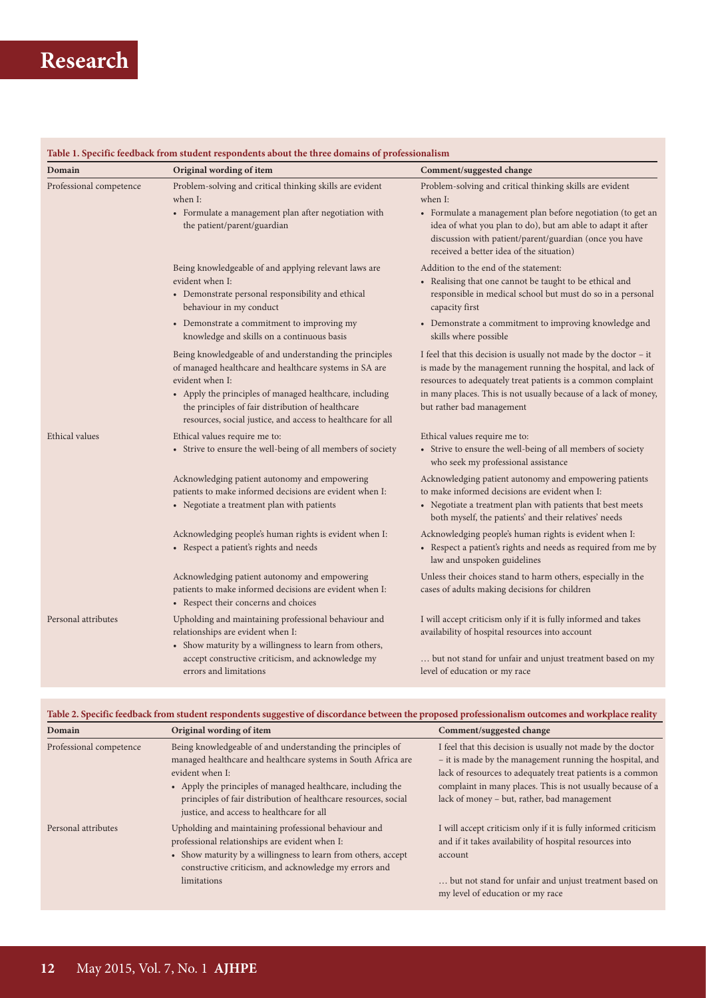| Domain                  | Table 1. Specific feedback from student respondents about the three domains of professionalism                                                                                                                                                                                                                      |                                                                                                                                                                                                                                                                                                   |
|-------------------------|---------------------------------------------------------------------------------------------------------------------------------------------------------------------------------------------------------------------------------------------------------------------------------------------------------------------|---------------------------------------------------------------------------------------------------------------------------------------------------------------------------------------------------------------------------------------------------------------------------------------------------|
|                         | Original wording of item                                                                                                                                                                                                                                                                                            | Comment/suggested change                                                                                                                                                                                                                                                                          |
| Professional competence | Problem-solving and critical thinking skills are evident<br>when I:                                                                                                                                                                                                                                                 | Problem-solving and critical thinking skills are evident<br>when I:                                                                                                                                                                                                                               |
|                         | • Formulate a management plan after negotiation with<br>the patient/parent/guardian                                                                                                                                                                                                                                 | • Formulate a management plan before negotiation (to get an<br>idea of what you plan to do), but am able to adapt it after<br>discussion with patient/parent/guardian (once you have<br>received a better idea of the situation)                                                                  |
|                         | Being knowledgeable of and applying relevant laws are                                                                                                                                                                                                                                                               | Addition to the end of the statement:                                                                                                                                                                                                                                                             |
|                         | evident when I:<br>• Demonstrate personal responsibility and ethical<br>behaviour in my conduct                                                                                                                                                                                                                     | • Realising that one cannot be taught to be ethical and<br>responsible in medical school but must do so in a personal<br>capacity first                                                                                                                                                           |
|                         | • Demonstrate a commitment to improving my<br>knowledge and skills on a continuous basis                                                                                                                                                                                                                            | • Demonstrate a commitment to improving knowledge and<br>skills where possible                                                                                                                                                                                                                    |
|                         | Being knowledgeable of and understanding the principles<br>of managed healthcare and healthcare systems in SA are<br>evident when I:<br>• Apply the principles of managed healthcare, including<br>the principles of fair distribution of healthcare<br>resources, social justice, and access to healthcare for all | I feel that this decision is usually not made by the doctor $-$ it<br>is made by the management running the hospital, and lack of<br>resources to adequately treat patients is a common complaint<br>in many places. This is not usually because of a lack of money,<br>but rather bad management |
| <b>Ethical</b> values   | Ethical values require me to:<br>• Strive to ensure the well-being of all members of society                                                                                                                                                                                                                        | Ethical values require me to:<br>• Strive to ensure the well-being of all members of society<br>who seek my professional assistance                                                                                                                                                               |
|                         | Acknowledging patient autonomy and empowering<br>patients to make informed decisions are evident when I:<br>• Negotiate a treatment plan with patients                                                                                                                                                              | Acknowledging patient autonomy and empowering patients<br>to make informed decisions are evident when I:<br>• Negotiate a treatment plan with patients that best meets                                                                                                                            |
|                         | Acknowledging people's human rights is evident when I:<br>• Respect a patient's rights and needs                                                                                                                                                                                                                    | both myself, the patients' and their relatives' needs<br>Acknowledging people's human rights is evident when I:<br>• Respect a patient's rights and needs as required from me by<br>law and unspoken guidelines                                                                                   |
|                         | Acknowledging patient autonomy and empowering<br>patients to make informed decisions are evident when I:<br>• Respect their concerns and choices                                                                                                                                                                    | Unless their choices stand to harm others, especially in the<br>cases of adults making decisions for children                                                                                                                                                                                     |
| Personal attributes     | Upholding and maintaining professional behaviour and<br>relationships are evident when I:<br>• Show maturity by a willingness to learn from others,                                                                                                                                                                 | I will accept criticism only if it is fully informed and takes<br>availability of hospital resources into account                                                                                                                                                                                 |
|                         | accept constructive criticism, and acknowledge my<br>errors and limitations                                                                                                                                                                                                                                         | but not stand for unfair and unjust treatment based on my<br>level of education or my race                                                                                                                                                                                                        |

**Table 2. Specific feedback from student respondents suggestive of discordance between the proposed professionalism outcomes and workplace reality**

managed healthcare and healthcare systems in South Africa are

• Apply the principles of managed healthcare, including the principles of fair distribution of healthcare resources, social

• Show maturity by a willingness to learn from others, accept constructive criticism, and acknowledge my errors and

justice, and access to healthcare for all

professional relationships are evident when I:

Professional competence Being knowledgeable of and understanding the principles of

Personal attributes Upholding and maintaining professional behaviour and

evident when I:

limitations

**Domain Comment/suggested change Original wording of item Comment/suggested change** I feel that this decision is usually not made by the doctor – it is made by the management running the hospital, and lack of resources to adequately treat patients is a common complaint in many places. This is not usually because of a lack of money – but, rather, bad management

> I will accept criticism only if it is fully informed criticism and if it takes availability of hospital resources into account

> … but not stand for unfair and unjust treatment based on my level of education or my race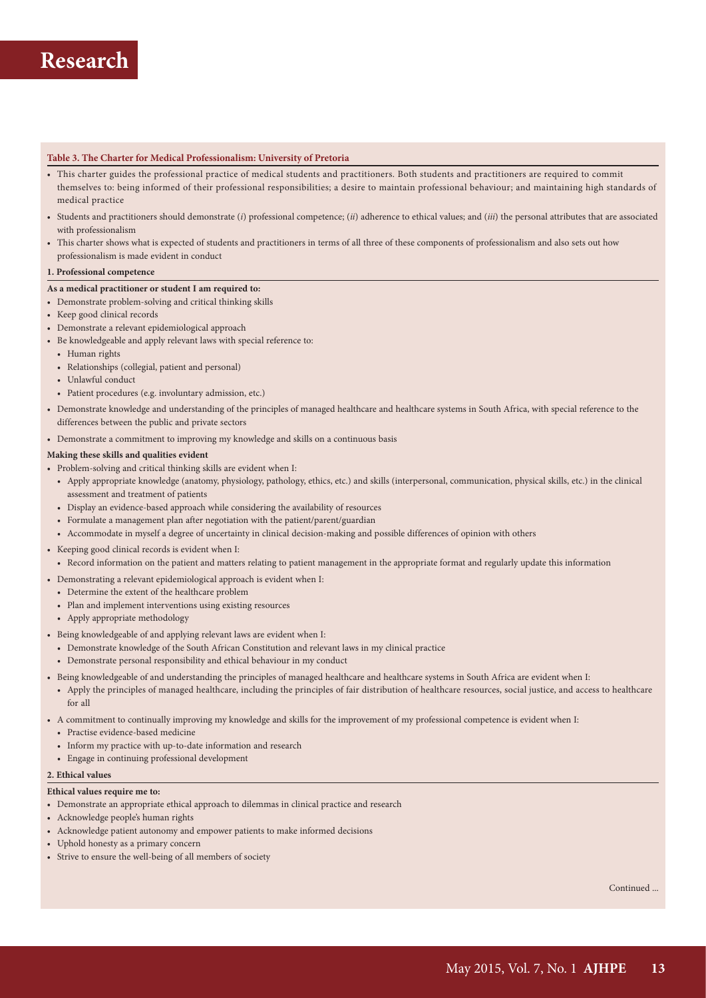#### **Table 3. The Charter for Medical Professionalism: University of Pretoria**

- This charter guides the professional practice of medical students and practitioners. Both students and practitioners are required to commit themselves to: being informed of their professional responsibilities; a desire to maintain professional behaviour; and maintaining high standards of medical practice
- Students and practitioners should demonstrate (*i*) professional competence; (*ii*) adherence to ethical values; and (*iii*) the personal attributes that are associated with professionalism
- This charter shows what is expected of students and practitioners in terms of all three of these components of professionalism and also sets out how professionalism is made evident in conduct

#### **1. Professional competence**

#### **As a medical practitioner or student I am required to:**

- Demonstrate problem-solving and critical thinking skills
- Keep good clinical records
- Demonstrate a relevant epidemiological approach
- Be knowledgeable and apply relevant laws with special reference to:
	- Human rights
	- Relationships (collegial, patient and personal)
	- Unlawful conduct
	- Patient procedures (e.g. involuntary admission, etc.)
- Demonstrate knowledge and understanding of the principles of managed healthcare and healthcare systems in South Africa, with special reference to the differences between the public and private sectors
- Demonstrate a commitment to improving my knowledge and skills on a continuous basis

#### **Making these skills and qualities evident**

- Problem-solving and critical thinking skills are evident when I:
	- Apply appropriate knowledge (anatomy, physiology, pathology, ethics, etc.) and skills (interpersonal, communication, physical skills, etc.) in the clinical assessment and treatment of patients
	- Display an evidence-based approach while considering the availability of resources
	- Formulate a management plan after negotiation with the patient/parent/guardian
	- Accommodate in myself a degree of uncertainty in clinical decision-making and possible differences of opinion with others
- Keeping good clinical records is evident when I:
	- Record information on the patient and matters relating to patient management in the appropriate format and regularly update this information
- Demonstrating a relevant epidemiological approach is evident when I:
	- Determine the extent of the healthcare problem
	- Plan and implement interventions using existing resources
	- Apply appropriate methodology
- Being knowledgeable of and applying relevant laws are evident when I:
	- Demonstrate knowledge of the South African Constitution and relevant laws in my clinical practice
	- Demonstrate personal responsibility and ethical behaviour in my conduct
- Being knowledgeable of and understanding the principles of managed healthcare and healthcare systems in South Africa are evident when I:
	- Apply the principles of managed healthcare, including the principles of fair distribution of healthcare resources, social justice, and access to healthcare for all
- A commitment to continually improving my knowledge and skills for the improvement of my professional competence is evident when I:
	- Practise evidence-based medicine
	- Inform my practice with up-to-date information and research
	- Engage in continuing professional development

#### **2. Ethical values**

### **Ethical values require me to:**

- Demonstrate an appropriate ethical approach to dilemmas in clinical practice and research
- Acknowledge people's human rights
- Acknowledge patient autonomy and empower patients to make informed decisions
- Uphold honesty as a primary concern
- Strive to ensure the well-being of all members of society

Continued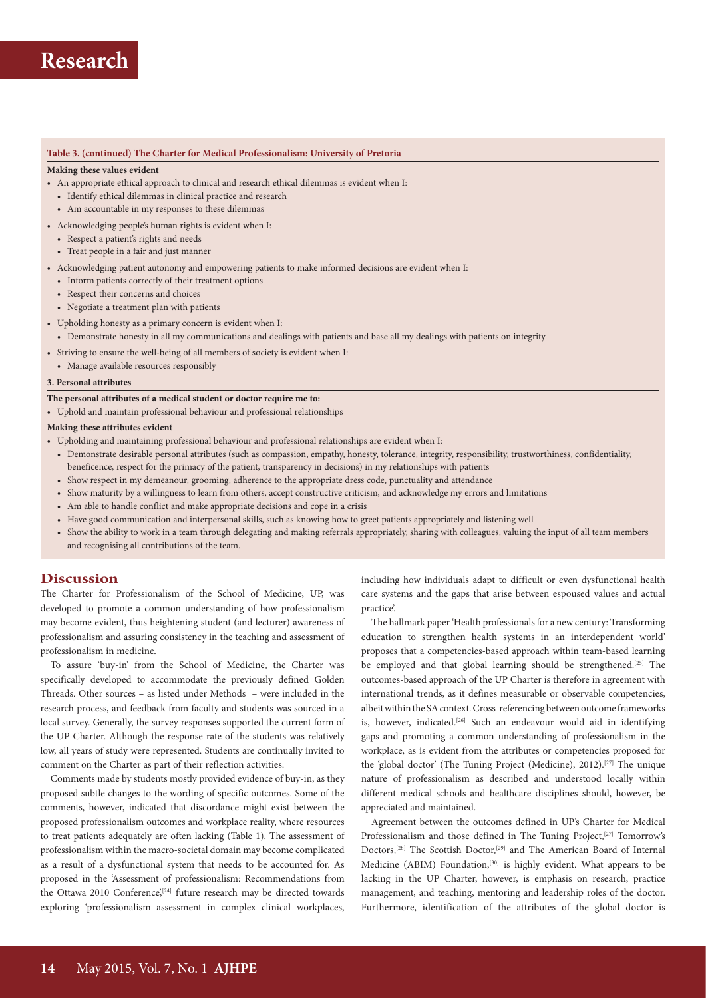#### **Table 3. (continued) The Charter for Medical Professionalism: University of Pretoria**

#### **Making these values evident**

- An appropriate ethical approach to clinical and research ethical dilemmas is evident when I:
- Identify ethical dilemmas in clinical practice and research
- Am accountable in my responses to these dilemmas
- Acknowledging people's human rights is evident when I:
- Respect a patient's rights and needs
- Treat people in a fair and just manner
- Acknowledging patient autonomy and empowering patients to make informed decisions are evident when I:
- Inform patients correctly of their treatment options
- Respect their concerns and choices
- Negotiate a treatment plan with patients
- Upholding honesty as a primary concern is evident when I:
	- Demonstrate honesty in all my communications and dealings with patients and base all my dealings with patients on integrity
- Striving to ensure the well-being of all members of society is evident when I:
- Manage available resources responsibly

### **3. Personal attributes**

#### **The personal attributes of a medical student or doctor require me to:**

• Uphold and maintain professional behaviour and professional relationships

#### **Making these attributes evident**

- Upholding and maintaining professional behaviour and professional relationships are evident when I:
	- Demonstrate desirable personal attributes (such as compassion, empathy, honesty, tolerance, integrity, responsibility, trustworthiness, confidentiality, beneficence, respect for the primacy of the patient, transparency in decisions) in my relationships with patients
	- Show respect in my demeanour, grooming, adherence to the appropriate dress code, punctuality and attendance
	- Show maturity by a willingness to learn from others, accept constructive criticism, and acknowledge my errors and limitations
	- Am able to handle conflict and make appropriate decisions and cope in a crisis
	- Have good communication and interpersonal skills, such as knowing how to greet patients appropriately and listening well
	- Show the ability to work in a team through delegating and making referrals appropriately, sharing with colleagues, valuing the input of all team members and recognising all contributions of the team.

### **Discussion**

The Charter for Professionalism of the School of Medicine, UP, was developed to promote a common understanding of how professionalism may become evident, thus heightening student (and lecturer) awareness of professionalism and assuring consistency in the teaching and assessment of professionalism in medicine.

To assure 'buy-in' from the School of Medicine, the Charter was specifically developed to accommodate the previously defined Golden Threads. Other sources – as listed under Methods – were included in the research process, and feedback from faculty and students was sourced in a local survey. Generally, the survey responses supported the current form of the UP Charter. Although the response rate of the students was relatively low, all years of study were represented. Students are continually invited to comment on the Charter as part of their reflection activities.

Comments made by students mostly provided evidence of buy-in, as they proposed subtle changes to the wording of specific outcomes. Some of the comments, however, indicated that discordance might exist between the proposed professionalism outcomes and workplace reality, where resources to treat patients adequately are often lacking (Table 1). The assessment of professionalism within the macro-societal domain may become complicated as a result of a dysfunctional system that needs to be accounted for. As proposed in the 'Assessment of professionalism: Recommendations from the Ottawa 2010 Conference,<sup>[24]</sup> future research may be directed towards exploring 'professionalism assessment in complex clinical workplaces,

including how individuals adapt to difficult or even dysfunctional health care systems and the gaps that arise between espoused values and actual practice'.

The hallmark paper 'Health professionals for a new century: Transforming education to strengthen health systems in an interdependent world' proposes that a competencies-based approach within team-based learning be employed and that global learning should be strengthened.<sup>[25]</sup> The outcomes-based approach of the UP Charter is therefore in agreement with international trends, as it defines measurable or observable competencies, albeit within the SA context. Cross-referencing between outcome frameworks is, however, indicated.<sup>[26]</sup> Such an endeavour would aid in identifying gaps and promoting a common understanding of professionalism in the workplace, as is evident from the attributes or competencies proposed for the 'global doctor' (The Tuning Project (Medicine), 2012).[27] The unique nature of professionalism as described and understood locally within different medical schools and healthcare disciplines should, however, be appreciated and maintained.

Agreement between the outcomes defined in UP's Charter for Medical Professionalism and those defined in The Tuning Project,<sup>[27]</sup> Tomorrow's Doctors,[28] The Scottish Doctor,[29] and The American Board of Internal Medicine (ABIM) Foundation,<sup>[30]</sup> is highly evident. What appears to be lacking in the UP Charter, however, is emphasis on research, practice management, and teaching, mentoring and leadership roles of the doctor. Furthermore, identification of the attributes of the global doctor is